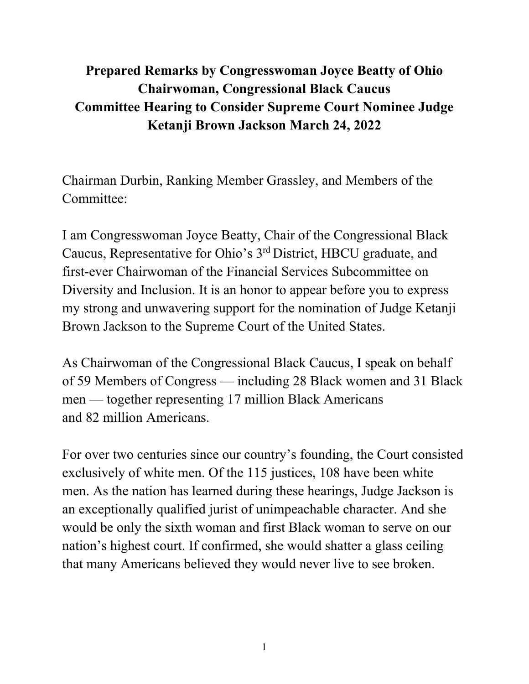## **Prepared Remarks by Congresswoman Joyce Beatty of Ohio Chairwoman, Congressional Black Caucus Committee Hearing to Consider Supreme Court Nominee Judge Ketanji Brown Jackson March 24, 2022**

Chairman Durbin, Ranking Member Grassley, and Members of the Committee:

I am Congresswoman Joyce Beatty, Chair of the Congressional Black Caucus, Representative for Ohio's 3rd District, HBCU graduate, and first-ever Chairwoman of the Financial Services Subcommittee on Diversity and Inclusion. It is an honor to appear before you to express my strong and unwavering support for the nomination of Judge Ketanji Brown Jackson to the Supreme Court of the United States.

As Chairwoman of the Congressional Black Caucus, I speak on behalf of 59 Members of Congress — including 28 Black women and 31 Black men — together representing 17 million Black Americans and 82 million Americans.

For over two centuries since our country's founding, the Court consisted exclusively of white men. Of the 115 justices, 108 have been white men. As the nation has learned during these hearings, Judge Jackson is an exceptionally qualified jurist of unimpeachable character. And she would be only the sixth woman and first Black woman to serve on our nation's highest court. If confirmed, she would shatter a glass ceiling that many Americans believed they would never live to see broken.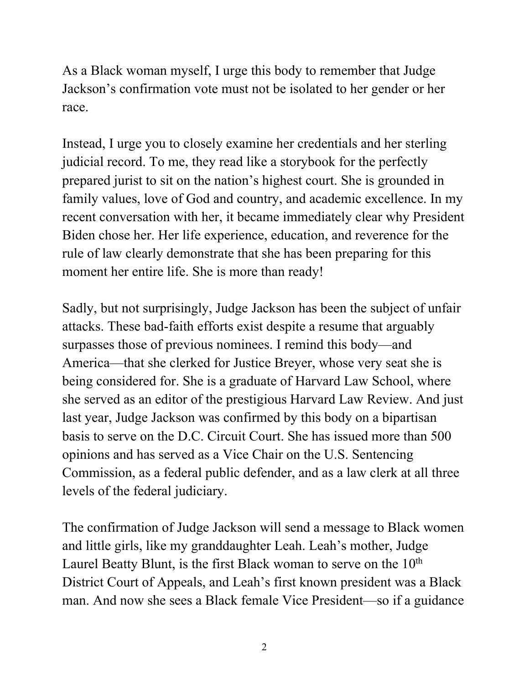As a Black woman myself, I urge this body to remember that Judge Jackson's confirmation vote must not be isolated to her gender or her race.

Instead, I urge you to closely examine her credentials and her sterling judicial record. To me, they read like a storybook for the perfectly prepared jurist to sit on the nation's highest court. She is grounded in family values, love of God and country, and academic excellence. In my recent conversation with her, it became immediately clear why President Biden chose her. Her life experience, education, and reverence for the rule of law clearly demonstrate that she has been preparing for this moment her entire life. She is more than ready!

Sadly, but not surprisingly, Judge Jackson has been the subject of unfair attacks. These bad-faith efforts exist despite a resume that arguably surpasses those of previous nominees. I remind this body—and America—that she clerked for Justice Breyer, whose very seat she is being considered for. She is a graduate of Harvard Law School, where she served as an editor of the prestigious Harvard Law Review. And just last year, Judge Jackson was confirmed by this body on a bipartisan basis to serve on the D.C. Circuit Court. She has issued more than 500 opinions and has served as a Vice Chair on the U.S. Sentencing Commission, as a federal public defender, and as a law clerk at all three levels of the federal judiciary.

The confirmation of Judge Jackson will send a message to Black women and little girls, like my granddaughter Leah. Leah's mother, Judge Laurel Beatty Blunt, is the first Black woman to serve on the  $10<sup>th</sup>$ District Court of Appeals, and Leah's first known president was a Black man. And now she sees a Black female Vice President—so if a guidance